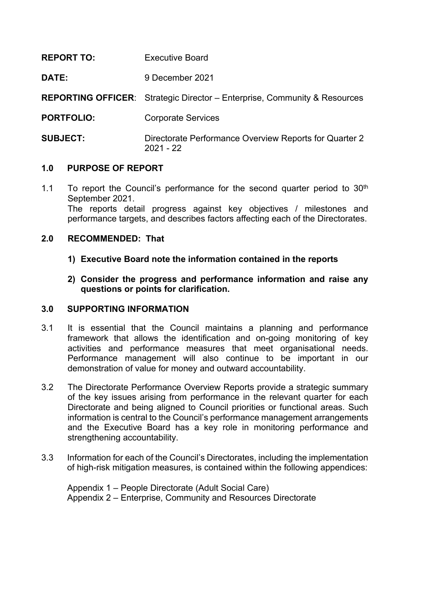| <b>REPORT TO:</b> | <b>Executive Board</b>                                                           |
|-------------------|----------------------------------------------------------------------------------|
| DATE:             | 9 December 2021                                                                  |
|                   | <b>REPORTING OFFICER:</b> Strategic Director – Enterprise, Community & Resources |
| <b>PORTFOLIO:</b> | <b>Corporate Services</b>                                                        |
| <b>SUBJECT:</b>   | Directorate Performance Overview Reports for Quarter 2<br>$2021 - 22$            |

### **1.0 PURPOSE OF REPORT**

1.1 To report the Council's performance for the second quarter period to  $30<sup>th</sup>$ September 2021. The reports detail progress against key objectives / milestones and performance targets, and describes factors affecting each of the Directorates.

#### **2.0 RECOMMENDED: That**

- **1) Executive Board note the information contained in the reports**
- **2) Consider the progress and performance information and raise any questions or points for clarification.**

#### **3.0 SUPPORTING INFORMATION**

- 3.1 It is essential that the Council maintains a planning and performance framework that allows the identification and on-going monitoring of key activities and performance measures that meet organisational needs. Performance management will also continue to be important in our demonstration of value for money and outward accountability.
- 3.2 The Directorate Performance Overview Reports provide a strategic summary of the key issues arising from performance in the relevant quarter for each Directorate and being aligned to Council priorities or functional areas. Such information is central to the Council's performance management arrangements and the Executive Board has a key role in monitoring performance and strengthening accountability.
- 3.3 Information for each of the Council's Directorates, including the implementation of high-risk mitigation measures, is contained within the following appendices:

Appendix 1 – People Directorate (Adult Social Care) Appendix 2 – Enterprise, Community and Resources Directorate